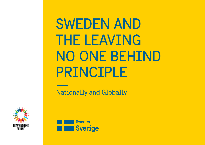## SWEDEN AND THE LEAVING NO ONE BEHIND PRINCIPLE

Nationally and Globally



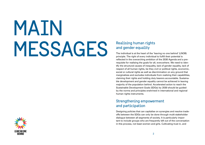# MAIN Realising human rights<br>and gender equality<br>The individual is at the heart of the 'Is

### and gender equality

The individual is at the heart of the 'leaving no one behind' (LNOB) principle. The right of every individual to fulfill their potential is reflected in the overarching ambition of the 2030 Agenda and a prerequisite for realising the goals for all, everywhere. We need to identify the structural causes of inequality, lack of gender equality, lack of respect of all human rights, be they civil or political rights, economic, social or cultural rights as well as discrimination on any ground that marginalizes and excludes individuals from realizing their capabilities, claiming their rights and holding duty bearers accountable. Sustainable development and gender equality cannot be achieved in leaving majority of the population behind. Accelerated action to reach the Sustainable Development Goals (SDGs) by 2030 should be guided by the norms and principles enshrined in international and regional human rights instruments.

#### Strengthening empowerment and participation

Designing policies that can capitalise on synergies and resolve tradeoffs between the SDGs can only be done through multi-stakeholder dialogue between all segments of society. It is particularly important to include groups who are frequently left out of the conversation in this process, not least women and girls. Cultivating trust in, and

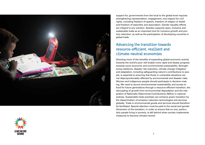

support for, governments from the local to the global level requires strengthening representation, engagement, and respect for civil rights, including freedom of speech, freedom of religion or belief, and freedom of assembly and association. Gender equality efforts are integral to any solution. Sweden supports open, inclusive and sustainable trade as an important tool for inclusive growth and poverty reduction, as well as the participation of developing countries in global trade.

#### Advancing the transition towards resource-efficient, resilient and climate-neutral economies

Directing more of the benefits of expanding global economic activity towards the world's poor will enable more rapid and steady progress towards socio-economic and environmental sustainability. Strengthening resilience, disaster risk reduction, climate change mitigation and adaptation, including safeguarding nature's contributions to people, is essential to ensuring that those in vulnerable situations are not disproportionately affected by environmental and disaster risks. Women and indigenous people should participate in decision-making. We need to secure environmental sustainability and access to food for future generations through a resource-efficient transition, the decoupling of growth from environmental degradation and the integration of Nationally Determined Contributions (NDCs) in national policies. Sustainable trade practises can enhance green transition by the dissemination of emission reduction technologies and services globally. Trade in environmental goods and services should therefore be facilitated. Special attention must be paid to the social and gender dimension of the transition, in order to ensure that no one, particularly people living in poverty, is left behind when society implements measures to become climate-neutral.

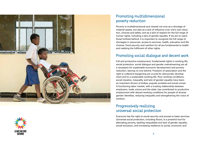



#### Promoting multidimensional poverty reduction

Poverty is multidimensional and viewed not only as a shortage of material assets, but also as a lack of influence over one's own situation, choices and safety, and as a lack of respect for the full range of human rights, including a lack of gender equality. If we are to reach those furthest behind, it is important to recognize the full range of shortages in resources, access to services, health, education and life choices. Food security and nutrition for all are fundamental to health and realizing the fulfilment of other rights.

#### Promoting social dialogue and decent work

Full and productive employment, fundamental rights in working life, social protection, social dialogue and gender mainstreaming are all a necessary for sustainable economic development and poverty reduction, leaving no one behind. Freedom of association and the right to collective bargaining are crucial for democratic development and to a sustainable working life. Poor working conditions, social injustice, inequality and lack of gender equality have been an important drivers of strikes, popular protests and social unrest. A functioning labor market, with a trusting relationship between employers, trade unions and the state, has contributed to productive employment with decent working conditions for people of diverse gender identities, reducing inequality and strengthening the voice of workers.

#### Progressively realizing universal social protection

Everyone has the right to social security and access to basic services. Universal social protection, including floors, is a powerful tool for alleviating poverty, tackling inequalities and lack of gender equality, social exclusion, and increasing resilience to social, economic and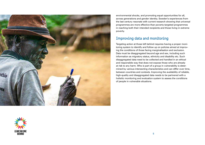

environmental shocks, and promoting equal opportunities for all, across generations and gender identity. Sweden's experiences from the last century resonate with current research showing that universal programmes are more effective than poverty-targeted programmes in reaching both their intended recipients and those living in extreme poverty.

#### Improving data and monitoring

 between countries and contexts. Improving the availability of reliable, Targeting action at those left behind requires having a proper monitoring system to identify and follow up on policies aimed at improving the conditions of those facing marginalisation and exclusion. Data must be disaggregated beyond age and sex, including such information as migratory status, ethnicity and disability etc. Such disaggregated data need to be collected and handled in an ethical and responsible way that does not expose those who are already at risk to any harm. Who is part of a group in vulnerability is determined by various intersecting characteristics and can differ over time, high-quality and disaggregated data needs to be partnered with a holisitic monitoring and evaluation system to assess the conditions of people in vulnerable situations.

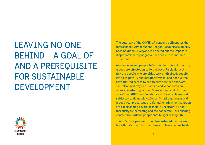## LEAVING NO ONE BEHIND – A GOAL OF AND A PREREQUISITE FOR SUSTAINABLE DEVELOPMENT



The outbreak of the COVID-19 pandemic illustrates the interconnectivity of our challenges. Local crises quickly become global. Everyone is afected but the impact is disproportionately negative for people in vulnerable situations.

 another 130 million people into hunger during 20201. Women, men and people belonging to diferent minority groups are afected in diferent ways. Particularly at risk are people who are older, sick or disabled, people living in poverty and marginalization, and people who have limited access to health care services and water, sanitation and hygiene. Racism and xenophobia are often exacerbating factors. Some women and children, as well as LGBTI people, who are isolated at home and subjected to domestic violence. Small businesses and groups with precarious or informal employment contracts are experiencing severe economic uncertainty. Food insecurity is increasing and the pandemic risks pushing

The COVID-19 pandemic has demonstrated that the world is falling short on its commitment to leave no one behind.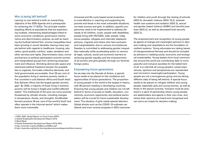#### Who is being left behind?

Leaving no one behind is both an overarching objective of the 2030 Agenda and a prerequisite for achieving the 17 SDGs. The principle implies targeting efforts at populations that are experiencing multiple, intersecting disadvantages linked to socio-economic conditions, governance mechanisms and discriminatory policies, as well as reaching the furthest behind first. Income inequalities have been growing in recent decades, leaving many people behind with regards to healthcare, housing, education, good-quality nutrition, water, sanitation and other services and rights. Discriminatory laws, norms and barriers to political participation prevent women and marginalised groups from achieving empowerment and influence. Shrinking democratic space and restrained political freedoms hamper the possibilities to organise, formulate collective demands, and hold governments accountable. Over 50 per cent of the population living in extreme poverty reside in five countries in sub-Saharan Africa and South Asia2. Sub-Saharan Africa has the largest gender poverty gap3. By 2030, a majority of those living in extreme poverty will be living in fragile and conflict-affected states<sup>4</sup>. The livelihoods of the poor are more severely threatened by climatic shocks, including changes in temperature, floods, and droughts. Smallholder farmers produce 36 per cent of the world's food<sup>5</sup> and often operate in the informal sector<sup>6</sup> which makes them more vulnerable.

Universal and life-cycle based social protection is most effective in reaching and supporting the poorest and those in the most vulnerable situations, not least women and girls. In addition, specific programmes need to be implemented to address the needs of all children, youth, people with disabilities, people living with HIV/AIDS, older people, indigenous peoples, refugees and internally displaced persons, migrants and others who face exclusion and marginalisation due to various circumstances. Sweden is committed to addressing gender inequalities nationally while accelerating action to remove all legal, cultural, social and economic barriers to achieving gender equality and the empowerment of all women and girls globally through our feminist foreign policy.

#### Empowering future generations

 with 90 percent residing in developing countries. As we step into the Decade of Action, a special focus needs to be placed on the conditions and opportunities of future generations. The proportion of young people in the world is the largest in history, Ensuring that young people and children are not left behind in terms of access to health, education, connectivity, economic opportunity and political participation will be crucial for future sustainable development. The situation of girls needs special attention. Global shocks such as the COVID-19 outbreak can disturb and even reverse progress in SDG outcomes

 (SDG 4), domestic violence (SDG 16.2), strained for children and youth through the closing of schools health care systems and isolation (SDG 3), sexual and gender based violence (SGBV) and harmful practices (SDG 5), as well as decreased food security (SDG 2).

The empowerment and recognition of young people as agents of change and meaningful partners in decision-making and negotiations are the foundation of resilient systems. Young advocates are raising issues of intergenerational fairness and should be included as advisors in realising social, economic and ecological sustainability. Young leaders from local communities around the world are contributing daily to more peaceful and inclusive societies for the betterment of all. It is vital that all young people's varied experiences, opinions and perspectives are represented and mirrored in meaningful participation. Young people are not a homogenous group and are facing different risks of being left behind. A special focus needs to be placed on refugee children and young people, especially girls and young women, as well as those in the asylum process. Inclusion must be practiced in a spirit of partnership where young people are stakeholders and agents in their own lives, and where their opinions are heard and recognised and can serve as a basis for decision-making.

- 1 FSIN, 2020, Global Report on Food Crises (WFP)
- 2 Global Sustainable Development Report 2019
- 3 World Bank
- 4 Global Sustainable Development Report 2019, 85%
- 5 <http://www.fao.org/3/ca7036en/ca7036en.pdf>

<sup>6</sup> [http://www.fao.org/family-farming/data-sources/dataportrait/farm-size/en/](http://www.fao.org/family-farming/data-sources/dataportrait/farm-size/en)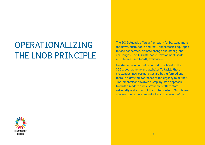## OPERATIONALIZING THE LNOB PRINCIPLE



Leaving no one behind is central to achieving the SDGs, both at home and globally. To tackle these challenges, new partnerships are being formed and there is a growing awareness of the urgency to act now. Implementation involves a step-by-step approach towards a modern and sustainable welfare state, nationally and as part of the global system. Multilateral cooperation is more important now than ever before.

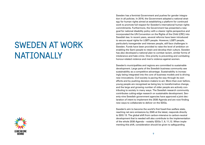## SWEDEN AT WORK NATIONALLY



Sweden has a feminist Government and pushes for gender integration in all policies. In 2016, the Government adopted a national strategy for human rights aimed at establishing a platform for continued work to promote full respect for Sweden's international human rights commitments. Furthermore, the Government has presented a new goal for national disability policy with a clearer rights perspective and incorporated the UN Convention on the Rights of the Child (CRC) into Swedish law. In recent years, several reforms have been introduced to secure equal rights for LGBTI people. However, LGBTI people, particularly transgender and intersex people, still face challenges in Sweden. Funds have been provided to raise the level of ambition on enabling the Sami people to retain and develop their culture. Sweden has also developed a national plan to combat racism, similar forms of intolerance and hate crime. One priority is preventing and combating honour-related violence and men's violence against women.

Sweden's municipalities and regions are committed to sustainable development. Large parts of the Swedish business community see sustainability as a competitive advantage. Sustainability is increasingly being integrated into the core of business models and is driving new innovations. Civil society is paving the way through its own efforts and by pushing decision-makers to act. More than ever before, young people are recognised as being key to transformative change, and the large and growing number of older people are actively contributing to society in many ways. The Swedish research community contributes cutting-edge research on sustainable development. Seventy-nine Swedish government agencies have approved a joint declaration of intent to implement the 2030 Agenda and are now finding new ways to collaborate to deliver on the SDGs.

 to SDG 13. The global shift from carbon-intensive to carbon-neutral Sweden's aim to become the world's first fossil-free welfare state, reaching net zero emissions by 2045 at the latest, responds directly development that is needed will also contribute to the implementation of the whole 2030 Agenda – notably SDGs 7, 9, 11,12. When implementing this shift, consideration should be given to safeguarding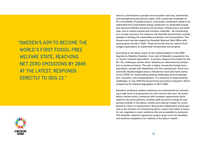"SWEDEN'S AIM TO BECOME THE WORLD'S FIRST FOSSIL-FREE WELFARE STATE, REACHING NET ZERO EMISSIONS BY 2045 AT THE LATEST, RESPONDS DIRECTLY TO SDG 13."



 challenges, in July 2016 the Government launched a long-term reform According to the latest review of the implementation of the 2030 Agenda by Statistics Sweden, 2 per cent of Sweden's population live in "severe material deprivation", a poverty measure formulated by the EU. Yet, challenges remain when adopting an intersectional perspective on social exclusion. The rate is higher among the foreign-born population, people with disabilities, and the unemployed. Socio-economically disadvantaged areas in Stockholm have also been worse hit by COVID-19, exacerbating existing challenges around segregation, exclusion, and marginalisation. In a response to these existing programme for reduced segregation in 2017–2025.

Sweden's ambitious welfare ambitions are underpinned by maintaining a high level of employment for both women and men. An active labour market policy, combined with transition agreements developed by the social partners, enables swift structural change by supporting mobility in the labour market and making it easier for unemployed to return to employment. Strong and independent social partners is the linchpin of a functioning labour where both sides of industry can negotiate to reach solutions that are acceptable to everyone. The Swedish collective agreement system gives room for flexibility and solutions adapted to the realities of the labour market.

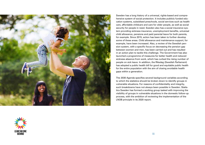

Sweden has a long history of a universal, rights-based and comprehensive system of social protection. It includes publicly funded education systems, subsidised preschools, social services such as health care, affordable childcare and care for older people, as well as social security for people in need. Sweden also has a social insurance system providing sickness insurance, unemployment benefits, universal child allowance, pensions and paid parental leave for both parents, for example. Since 2015, action has been taken to further develop some of these areas. Child allowance and maintenance support, for example, have been increased. Also, a review of the Swedish pension system, with a specific focus on decreasing the pension gap between women and men, has been carried out and has resulted in an action plan to tackle this challenge. The Government has also launched a programme of measures for better health and reduced sickness absence from work, which has curbed the rising number of people on sick leave. In addition, the Riksdag (Swedish Parliament) has adopted a public health bill for good and equitable public health for the entire population with the aim of closing avoidable health gaps within a generation.

The 2030 Agenda specifies several background variables according to which the statistics should be broken down to identify groups in vulnerable situations. For reasons of confidentiality and integrity, such breakdowns have not always been possible in Sweden. Statistics Sweden has formed a working group tasked with improving the visibility of groups in vulnerable situations in the domestic follow-up process, with the ambition of reviewing the implementation of the LNOB principle in its 2020 report.

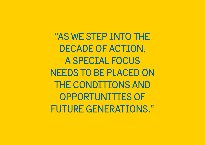"AS WE STEP INTO THE DECADE OF ACTION, A SPECIAL FOCUS NEEDS TO BE PLACED ON THE CONDITIONS AND OPPORTUNITIES OF FUTURE GENERATIONS."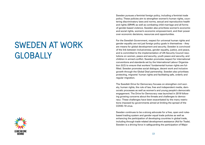## SWEDEN AT WORK GLOBALLY



Sweden pursues a feminist foreign policy, including a feminist trade policy. These policies aim to strengthen women's human rights, countering discriminatory laws and norms, sexual and reproductive health and rights (SRHR) as well as combating child marriage and all forms of gender-based violence. Sweden also prioritizes women's economic and social rights, women's economic empowerment, and their power over economic decisions, resources and opportunities.

For the Swedish Government, respect for universal human rights and gender equality are not just foreign policy goals in themselves – they are means for global development and security. Sweden is convinced of the link between inclusiveness, gender equality, justice, and peace, and is committed to the implementation of UN Security Council resolutions on women, peace and security, youth peace and security, and children in armed conflict. Sweden promotes respect for international conventions and standards set by the International Labour Organization (ILO) to ensure that workers' fundamental human rights are fulfilled. Sweden promotes social dialogue, decent work and inclusive growth through the Global Deal partnership. Sweden also prioritises protecting, migrants' human rights and facilitating safe, orderly and regular migration.

The Swedish Drive for Democracy focuses on strengthen civil society, human rights, the rule of law, free and independent media, democratic processes as well as women's and young people's democratic engagement. The Drive for Democracy was launched in 2019 following growing concerns about the threats and challenges to democracy: These challenges have been exacerbated by the many restrictions imposed by governments aimed at limiting the spread of the COVID-19 virus.

Sweden continues to be a strong advocate for a free, open and rulesbased trading system and gender equal trade policies as well as enhancing the participation of developing countries in global trade, including through trade-related development assistance (Aid for Trade). Sweden is a driving force in safeguarding the participation of Major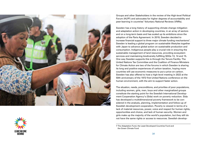

Groups and other Stakeholders in the review of the High-level Political Forum (HLPF) and advocates for higher degrees of accountability and peer-learning in countries' Voluntary National Reviews (VNRs).

Sweden has a long history of supporting climate change mitigation and adaptation action in developing countries, in an array of sectors and on a long-term basis and has scaled up its ambitions since the adoption of the Paris Agreement. In 2019, Sweden decided to increase financial support to three major climate funding mechanisms<sup>7</sup>. Sweden is leading a global program on sustainable lifestyles together with Japan to advance global action on sustainable production and consumption. Indigenous people play a crucial role in ensuring the sustainable management of land resources, providing ecosystem services and maintaining biodiversity fulfilling SDGs 13, 14 and 15. One way Sweden supports this is through the Tenure Facility. The United Nations Tax Committee and the Coalition of Finance Ministers for Climate Action are two of the forums in which Sweden is sharing its long and positive experiences of carbon taxation, hoping more countries will use economic measures to put a price on carbon. Sweden has also offered to host a high-level meeting in 2022 at the 50th anniversary of the 1972 first United Nations conference on the human environment, with the aim to support faster action.

The situation, needs, preconditions, and priorities of poor populations, including women, girls, men, boys and other marginalized groups constitute the starting point for the Swedish International Development Cooperation Agency's (Sida) work on poverty reduction. Sida has developed a multidimensional poverty framework to be considered in the analysis, planning, implementation and follow-up of Swedish development cooperation. Poverty is viewed in terms of a lack of material resources, power, voice and respect for human rights, opportunities and choice, and lack of human security. Women and girls make up the majority of the world's population, but they still do not have the same rights or access to resources. Swedish develop-

7 The Adaptation Fund, the Least Developed Countries Fund and the Green Climate Fund

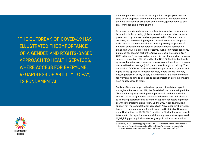"THE OUTBREAK OF COVID-19 HAS ILLUSTRATED THE IMPORTANCE OF A GENDER AND RIGHTS-BASED APPROACH TO HEALTH SERVICES, WHERE ACCESS FOR EVERYONE, REGARDLESS OF ABILITY TO PAY, IS FUNDAMENTAL."



ment cooperation takes as its starting point poor people's perspectives on development and the rights perspective. In addition, three thematic perspectives are prioritised: conflict, gender equality, and environmental and climate change.

Sweden's experience from universal social protection programmes is valuable in the growing global discussion on how universal social protection programmes can be implemented in different countrycontexts, and how existing targeted protection systems can potentially become more universal over time. A growing proportion of Swedish development cooperation efforts are being focused on advancing universal protection systems, such as universal pensions. Sida recently became part of the Universal Social Protection (USP) 2030 initiative. Sweden also has a long history of supporting universal access to education (SDG 4) and health (SDG 3). Sustainable health systems that offer everyone equal access to good services, known as universal health coverage (UHC), are currently a global priority. The outbreak of COVID-19 has illustrated the importance of a gender and rights-based approach to health services, where access for everyone, regardless of ability to pay, is fundamental. It is more common for women and girls to be outside social protection systems or not to have equal access to them.

 Statistics Sweden supports the development of statistical capacity to improve possibilities and strengthen capacity for actors in partner support for improved statistical capacity. In November 2018, Sweden throughout the world. In 2018, the Swedish Government adopted the 'Strategy for capacity development, partnership and methods that support the 2030 Agenda for sustainable development', which aims countries to implement and follow up the 2030 Agenda, including hosted the Inter-agency and Expert Group on Sustainable Development Goal Indicators (IAEG-SDG) meeting in Stockholm. After consultations with UN organizations and civil society, a report was prepared highlighting policy priority areas for groups in vulnerable situations<sup>8</sup>.

<sup>8</sup> Statcom, 2018. Data Disaggregation and SDG Indicators: Policy Priorities and Current and Future Disaggregation Plans: <https://unstats.un.org/unsd/stat>com/50th-session/documents/BG-Item3a-Data-Disaggregation-E.pdf